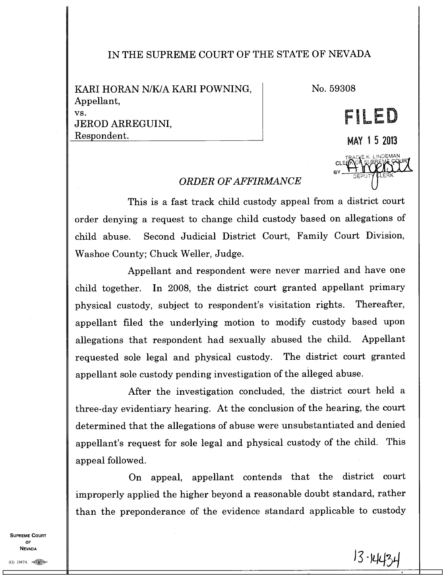## IN THE SUPREME COURT OF THE STATE OF NEVADA

| KARI HORAN N/K/A KARI POWNING, |
|--------------------------------|
| Appellant,                     |
| VS.                            |
| JEROD ARREGUINI,               |
| Respondent.                    |
|                                |

No. 59308

CLE BY.

DEPUT)

E K. LINDEMAN K. LINDEMA LERK

**MAY 1 5 2013** 

**PLED** 

R)

## *ORDER OF AFFIRMANCE*

This is a fast track child custody appeal from a district court order denying a request to change child custody based on allegations of child abuse. Second Judicial District Court, Family Court Division, Washoe County; Chuck Weller, Judge.

Appellant and respondent were never married and have one child together. In 2008, the district court granted appellant primary physical custody, subject to respondent's visitation rights. Thereafter, appellant filed the underlying motion to modify custody based upon allegations that respondent had sexually abused the child. Appellant requested sole legal and physical custody. The district court granted appellant sole custody pending investigation of the alleged abuse.

After the investigation concluded, the district court held a three-day evidentiary hearing. At the conclusion of the hearing, the court determined that the allegations of abuse were unsubstantiated and denied appellant's request for sole legal and physical custody of the child. This appeal followed.

On appeal, appellant contends that the district court improperly applied the higher beyond a reasonable doubt standard, rather than the preponderance of the evidence standard applicable to custody

**SUPREME COURT OF NEVADA**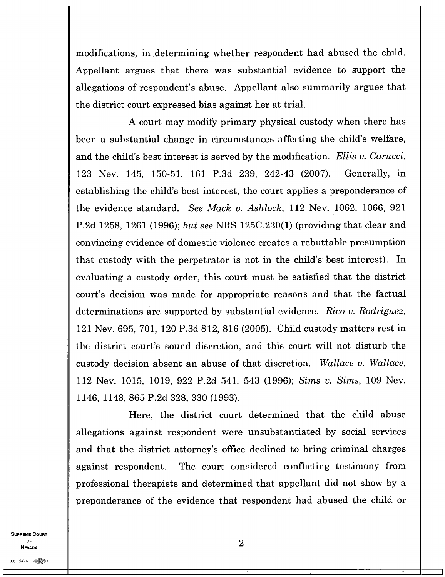modifications, in determining whether respondent had abused the child. Appellant argues that there was substantial evidence to support the allegations of respondent's abuse. Appellant also summarily argues that the district court expressed bias against her at trial.

A court may modify primary physical custody when there has been a substantial change in circumstances affecting the child's welfare, and the child's best interest is served by the modification. *Ellis v. Carucci,*  123 Nev. 145, 150-51, 161 P.3d 239, 242-43 (2007). Generally, in establishing the child's best interest, the court applies a preponderance of the evidence standard. *See Mack v. Ashlock,* 112 Nev. 1062, 1066, 921 P.2d 1258, 1261 (1996); *but see* NRS 125C.230(1) (providing that clear and convincing evidence of domestic violence creates a rebuttable presumption that custody with the perpetrator is not in the child's best interest). In evaluating a custody order, this court must be satisfied that the district court's decision was made for appropriate reasons and that the factual determinations are supported by substantial evidence. *Rico v. Rodriguez,*  121 Nev. 695, 701, 120 P.3d 812, 816 (2005). Child custody matters rest in the district court's sound discretion, and this court will not disturb the custody decision absent an abuse of that discretion. *Wallace v. Wallace,*  112 Nev. 1015, 1019, 922 P.2d 541, 543 (1996); *Sims* v. *Sims,* 109 Nev. 1146, 1148, 865 P.2d 328, 330 (1993).

Here, the district court determined that the child abuse allegations against respondent were unsubstantiated by social services and that the district attorney's office declined to bring criminal charges against respondent. The court considered conflicting testimony from professional therapists and determined that appellant did not show by a preponderance of the evidence that respondent had abused the child or

**SUPREME COURT OF NEVADA** 

2